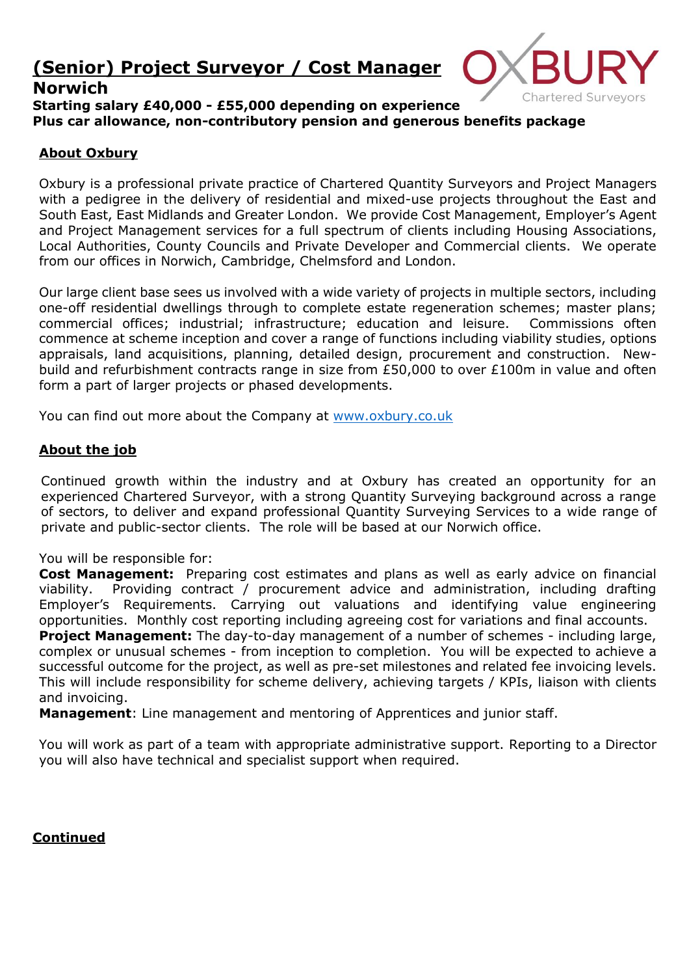# **(Senior) Project Surveyor / Cost Manager**

# **Norwich**



**Starting salary £40,000 - £55,000 depending on experience Plus car allowance, non-contributory pension and generous benefits package**

### **About Oxbury**

Oxbury is a professional private practice of Chartered Quantity Surveyors and Project Managers with a pedigree in the delivery of residential and mixed-use projects throughout the East and South East, East Midlands and Greater London. We provide Cost Management, Employer's Agent and Project Management services for a full spectrum of clients including Housing Associations, Local Authorities, County Councils and Private Developer and Commercial clients. We operate from our offices in Norwich, Cambridge, Chelmsford and London.

Our large client base sees us involved with a wide variety of projects in multiple sectors, including one-off residential dwellings through to complete estate regeneration schemes; master plans; commercial offices; industrial; infrastructure; education and leisure. Commissions often commence at scheme inception and cover a range of functions including viability studies, options appraisals, land acquisitions, planning, detailed design, procurement and construction. Newbuild and refurbishment contracts range in size from £50,000 to over £100m in value and often form a part of larger projects or phased developments.

You can find out more about the Company at [www.oxbury.co.uk](http://www.oxbury.co.uk/)

### **About the job**

Continued growth within the industry and at Oxbury has created an opportunity for an experienced Chartered Surveyor, with a strong Quantity Surveying background across a range of sectors, to deliver and expand professional Quantity Surveying Services to a wide range of private and public-sector clients. The role will be based at our Norwich office.

You will be responsible for:

**Cost Management:** Preparing cost estimates and plans as well as early advice on financial viability. Providing contract / procurement advice and administration, including drafting Employer's Requirements. Carrying out valuations and identifying value engineering opportunities. Monthly cost reporting including agreeing cost for variations and final accounts.

**Project Management:** The day-to-day management of a number of schemes - including large, complex or unusual schemes - from inception to completion. You will be expected to achieve a successful outcome for the project, as well as pre-set milestones and related fee invoicing levels. This will include responsibility for scheme delivery, achieving targets / KPIs, liaison with clients and invoicing.

**Management**: Line management and mentoring of Apprentices and junior staff.

You will work as part of a team with appropriate administrative support. Reporting to a Director you will also have technical and specialist support when required.

**Continued**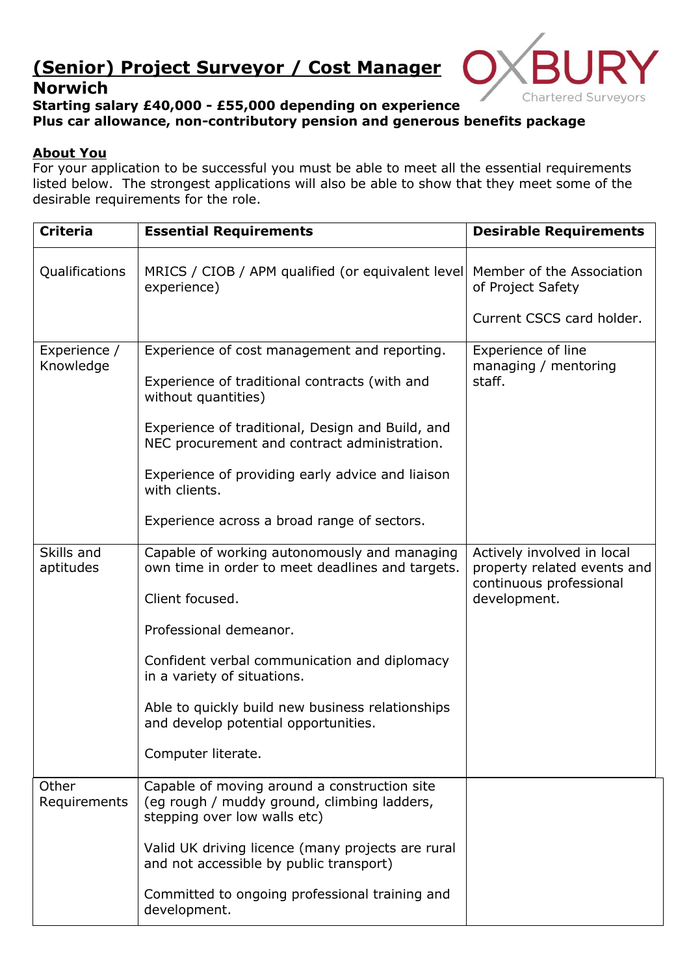# **(Senior) Project Surveyor / Cost Manager**





# **Starting salary £40,000 - £55,000 depending on experience Plus car allowance, non-contributory pension and generous benefits package**

# **About You**

For your application to be successful you must be able to meet all the essential requirements listed below. The strongest applications will also be able to show that they meet some of the desirable requirements for the role.

| <b>Criteria</b>           | <b>Essential Requirements</b>                                                                                               | <b>Desirable Requirements</b>                                                        |
|---------------------------|-----------------------------------------------------------------------------------------------------------------------------|--------------------------------------------------------------------------------------|
| Qualifications            | MRICS / CIOB / APM qualified (or equivalent level)<br>experience)                                                           | Member of the Association<br>of Project Safety                                       |
|                           |                                                                                                                             | Current CSCS card holder.                                                            |
| Experience /<br>Knowledge | Experience of cost management and reporting.                                                                                | Experience of line<br>managing / mentoring<br>staff.                                 |
|                           | Experience of traditional contracts (with and<br>without quantities)                                                        |                                                                                      |
|                           | Experience of traditional, Design and Build, and<br>NEC procurement and contract administration.                            |                                                                                      |
|                           | Experience of providing early advice and liaison<br>with clients.                                                           |                                                                                      |
|                           | Experience across a broad range of sectors.                                                                                 |                                                                                      |
| Skills and<br>aptitudes   | Capable of working autonomously and managing<br>own time in order to meet deadlines and targets.                            | Actively involved in local<br>property related events and<br>continuous professional |
|                           | Client focused.                                                                                                             | development.                                                                         |
|                           | Professional demeanor.                                                                                                      |                                                                                      |
|                           | Confident verbal communication and diplomacy<br>in a variety of situations.                                                 |                                                                                      |
|                           | Able to quickly build new business relationships<br>and develop potential opportunities.                                    |                                                                                      |
|                           | Computer literate.                                                                                                          |                                                                                      |
| Other<br>Requirements     | Capable of moving around a construction site<br>(eg rough / muddy ground, climbing ladders,<br>stepping over low walls etc) |                                                                                      |
|                           | Valid UK driving licence (many projects are rural<br>and not accessible by public transport)                                |                                                                                      |
|                           | Committed to ongoing professional training and<br>development.                                                              |                                                                                      |